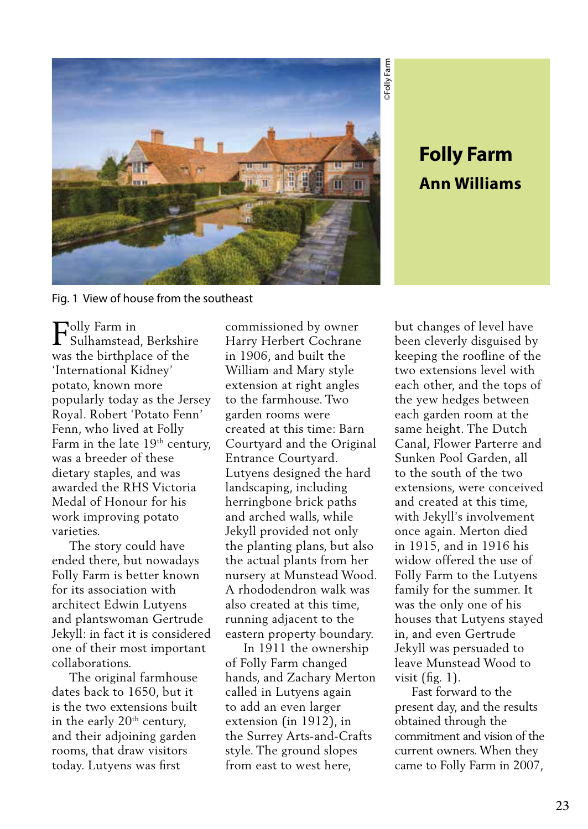

## **Ann Williams**

Fig. 1 View of house from the southeast

 $\Gamma_{\text{Sulhamstead}}^{\text{olly Farm in}}$ Sulhamstead, Berkshire was the birthplace of the 'International Kidney' potato, known more popularly today as the Jersey Royal. Robert 'Potato Fenn' Fenn, who lived at Folly Farm in the late 19<sup>th</sup> century, was a breeder of these dietary staples, and was awarded the RHS Victoria Medal of Honour for his work improving potato varieties.

 The story could have ended there, but nowadays Folly Farm is better known for its association with architect Edwin Lutyens and plantswoman Gertrude Jekyll: in fact it is considered one of their most important collaborations.

 The original farmhouse dates back to 1650, but it is the two extensions built in the early  $20<sup>th</sup>$  century, and their adjoining garden rooms, that draw visitors today. Lutyens was first

commissioned by owner Harry Herbert Cochrane in 1906, and built the William and Mary style extension at right angles to the farmhouse. Two garden rooms were created at this time: Barn Courtyard and the Original Entrance Courtyard. Lutyens designed the hard landscaping, including herringbone brick paths and arched walls, while Jekyll provided not only the planting plans, but also the actual plants from her nursery at Munstead Wood. A rhododendron walk was also created at this time, running adjacent to the eastern property boundary.

 In 1911 the ownership of Folly Farm changed hands, and Zachary Merton called in Lutyens again to add an even larger extension (in 1912), in the Surrey Arts-and-Crafts style. The ground slopes from east to west here,

**Folly Farm**<br> **Ann Williams**<br>
cleverly disguised by<br>
ing the roofline of the<br>
extensions level with<br>
other, and the tops of<br>
other, and the tops of<br>
garden room at the<br>
le height. The Dutch<br>
al, Flower Parterre and<br>
escout but changes of level have been cleverly disguised by keeping the roofline of the two extensions level with each other, and the tops of the yew hedges between each garden room at the same height. The Dutch Canal, Flower Parterre and Sunken Pool Garden, all to the south of the two extensions, were conceived and created at this time, with Jekyll's involvement once again. Merton died in 1915, and in 1916 his widow offered the use of Folly Farm to the Lutyens family for the summer. It was the only one of his houses that Lutyens stayed in, and even Gertrude Jekyll was persuaded to leave Munstead Wood to visit (fig. 1).

 Fast forward to the present day, and the results obtained through the commitment and vision of the current owners. When they came to Folly Farm in 2007,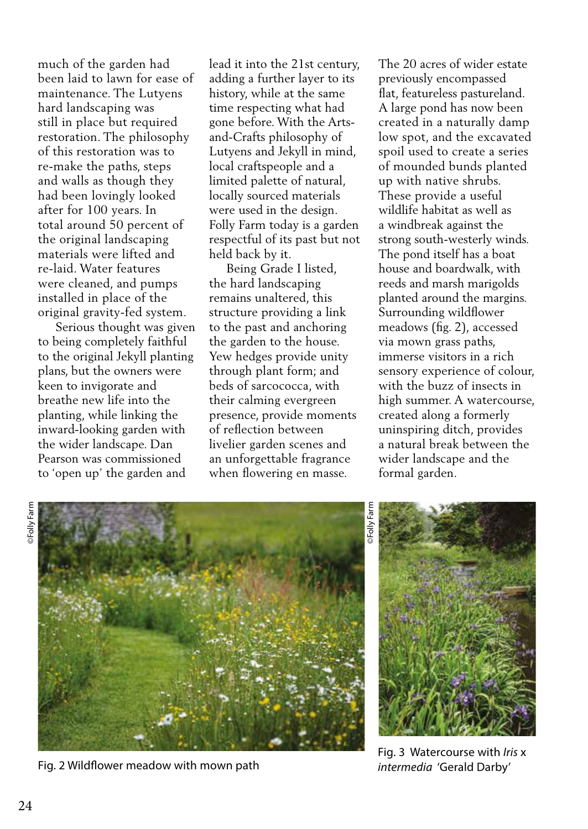much of the garden had been laid to lawn for ease of maintenance. The Lutyens hard landscaping was still in place but required restoration. The philosophy of this restoration was to re-make the paths, steps and walls as though they had been lovingly looked after for 100 years. In total around 50 percent of the original landscaping materials were lifted and re-laid. Water features were cleaned, and pumps installed in place of the original gravity-fed system.

 Serious thought was given to being completely faithful to the original Jekyll planting plans, but the owners were keen to invigorate and breathe new life into the planting, while linking the inward-looking garden with the wider landscape. Dan Pearson was commissioned to 'open up' the garden and

lead it into the 21st century, adding a further layer to its history, while at the same time respecting what had gone before. With the Artsand-Crafts philosophy of Lutyens and Jekyll in mind, local craftspeople and a limited palette of natural, locally sourced materials were used in the design. Folly Farm today is a garden respectful of its past but not held back by it.

 Being Grade I listed, the hard landscaping remains unaltered, this structure providing a link to the past and anchoring the garden to the house. Yew hedges provide unity through plant form; and beds of sarcococca, with their calming evergreen presence, provide moments of reflection between livelier garden scenes and an unforgettable fragrance when flowering en masse.

The 20 acres of wider estate previously encompassed flat, featureless pastureland. A large pond has now been created in a naturally damp low spot, and the excavated spoil used to create a series of mounded bunds planted up with native shrubs. These provide a useful wildlife habitat as well as a windbreak against the strong south-westerly winds. The pond itself has a boat house and boardwalk, with reeds and marsh marigolds planted around the margins. Surrounding wildflower meadows (fig. 2), accessed via mown grass paths, immerse visitors in a rich sensory experience of colour, with the buzz of insects in high summer. A watercourse, created along a formerly uninspiring ditch, provides a natural break between the wider landscape and the formal garden.





Fig. 2 Wildflower meadow with mown path *intermedia* 'Gerald Darby'



Fig. 3 Watercourse with *Iris* x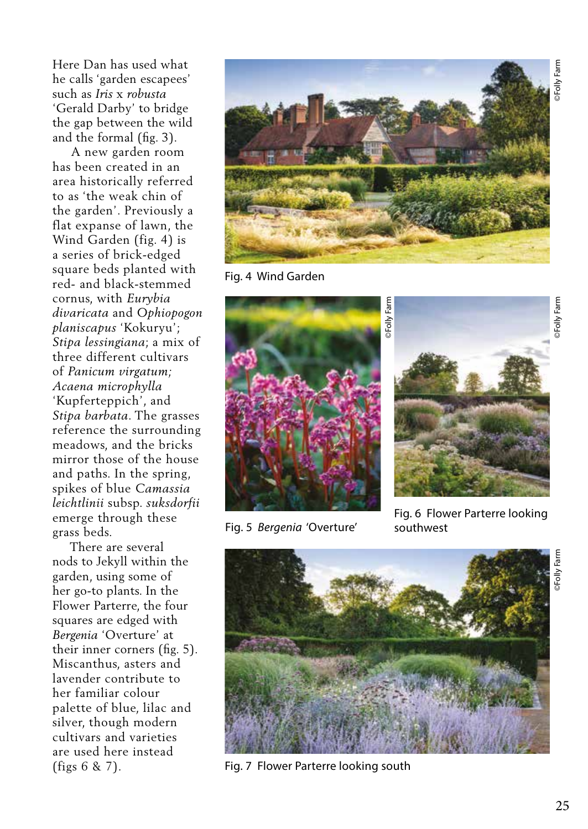Here Dan has used what he calls 'garden escapees' such as *Iris* x *robusta* 'Gerald Darby' to bridge the gap between the wild and the formal (fig. 3).

 A new garden room has been created in an area historically referred to as 'the weak chin of the garden'. Previously a flat expanse of lawn, the Wind Garden (fig. 4) is a series of brick-edged square beds planted with red- and black-stemmed cornus, with *Eurybia divaricata* and *Ophiopogon planiscapus* 'Kokuryu'; *Stipa lessingiana*; a mix of three different cultivars of *Panicum virgatum; Acaena microphylla*  'Kupferteppich', and *Stipa barbata*. The grasses reference the surrounding meadows, and the bricks mirror those of the house and paths. In the spring, spikes of blue *Camassia leichtlinii* subsp. *suksdorfii* emerge through these grass beds.

 There are several nods to Jekyll within the garden, using some of her go-to plants. In the Flower Parterre, the four squares are edged with *Bergenia* 'Overture' at their inner corners (fig. 5). Miscanthus, asters and lavender contribute to her familiar colour palette of blue, lilac and silver, though modern cultivars and varieties are used here instead (figs 6 & 7).



Fig. 4 Wind Garden



Fig. 5 *Bergenia* 'Overture' southwest



Fig. 6 Flower Parterre looking



Fig. 7 Flower Parterre looking south

Folly Farm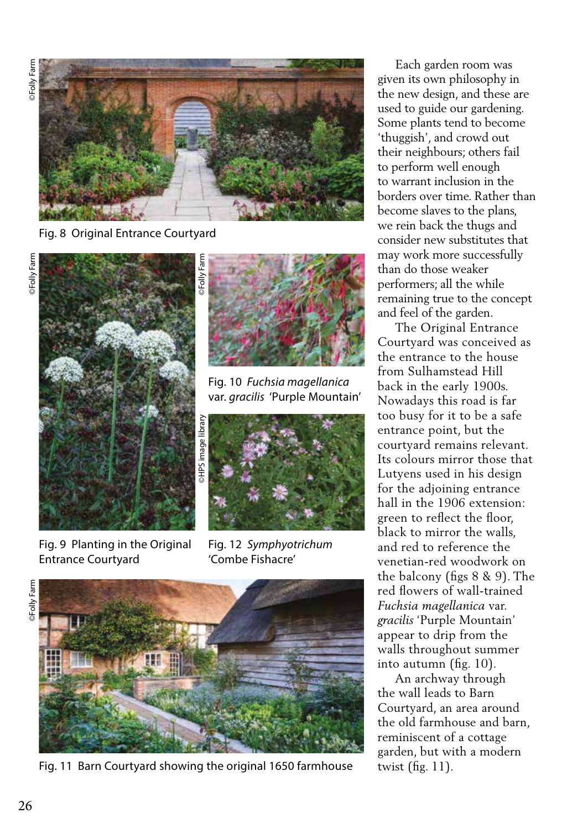

Fig. 8 Original Entrance Courtyard



Fig. 9 Planting in the Original Entrance Courtyard



Fig. 10 *Fuchsia magellanica* var. *gracilis* 'Purple Mountain'



Fig. 12 *Symphyotrichum*  'Combe Fishacre'





Fig. 11 Barn Courtyard showing the original 1650 farmhouse

 Each garden room was given its own philosophy in the new design, and these are used to guide our gardening. Some plants tend to become 'thuggish', and crowd out their neighbours; others fail to perform well enough to warrant inclusion in the borders over time. Rather than become slaves to the plans, we rein back the thugs and consider new substitutes that may work more successfully than do those weaker performers; all the while remaining true to the concept and feel of the garden.

 The Original Entrance Courtyard was conceived as the entrance to the house from Sulhamstead Hill back in the early 1900s. Nowadays this road is far too busy for it to be a safe entrance point, but the courtyard remains relevant. Its colours mirror those that Lutyens used in his design for the adjoining entrance hall in the 1906 extension: green to reflect the floor, black to mirror the walls, and red to reference the venetian-red woodwork on the balcony (figs 8 & 9). The red flowers of wall-trained *Fuchsia magellanica* var. *gracilis* 'Purple Mountain' appear to drip from the walls throughout summer into autumn (fig. 10).

 An archway through the wall leads to Barn Courtyard, an area around the old farmhouse and barn, reminiscent of a cottage garden, but with a modern twist (fig. 11).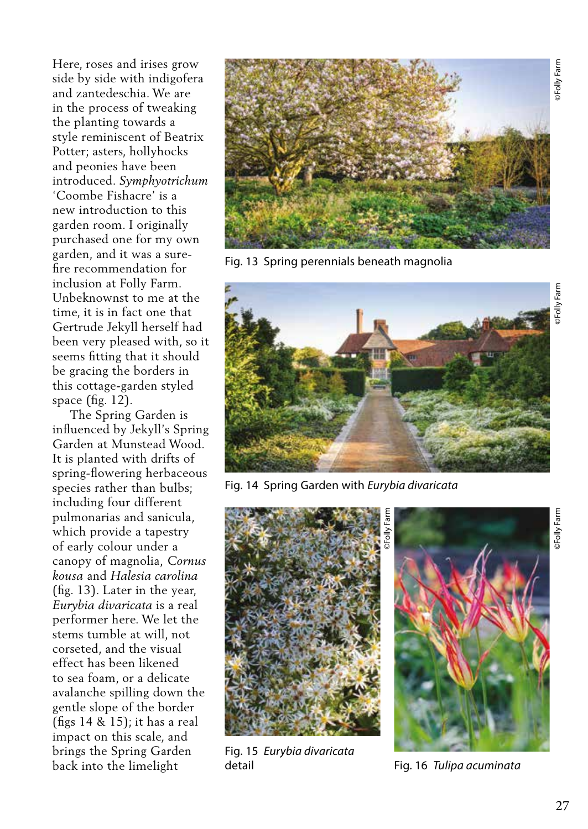Here, roses and irises grow side by side with indigofera and zantedeschia. We are in the process of tweaking the planting towards a style reminiscent of Beatrix Potter; asters, hollyhocks and peonies have been introduced. *Symphyotrichum*  'Coombe Fishacre' is a new introduction to this garden room. I originally purchased one for my own garden, and it was a surefire recommendation for inclusion at Folly Farm. Unbeknownst to me at the time, it is in fact one that Gertrude Jekyll herself had been very pleased with, so it seems fitting that it should be gracing the borders in this cottage-garden styled space (fig. 12).

 The Spring Garden is influenced by Jekyll's Spring Garden at Munstead Wood. It is planted with drifts of spring-flowering herbaceous species rather than bulbs; including four different pulmonarias and sanicula, which provide a tapestry of early colour under a canopy of magnolia, *Cornus kousa* and *Halesia carolina* (fig. 13). Later in the year, *Eurybia divaricata* is a real performer here. We let the stems tumble at will, not corseted, and the visual effect has been likened to sea foam, or a delicate avalanche spilling down the gentle slope of the border (figs 14 & 15); it has a real impact on this scale, and brings the Spring Garden back into the limelight



Fig. 13 Spring perennials beneath magnolia



Fig. 14 Spring Garden with *Eurybia divaricata*



Fig. 15 *Eurybia divaricata*  detail Fig. 16 *Tulipa acuminata*

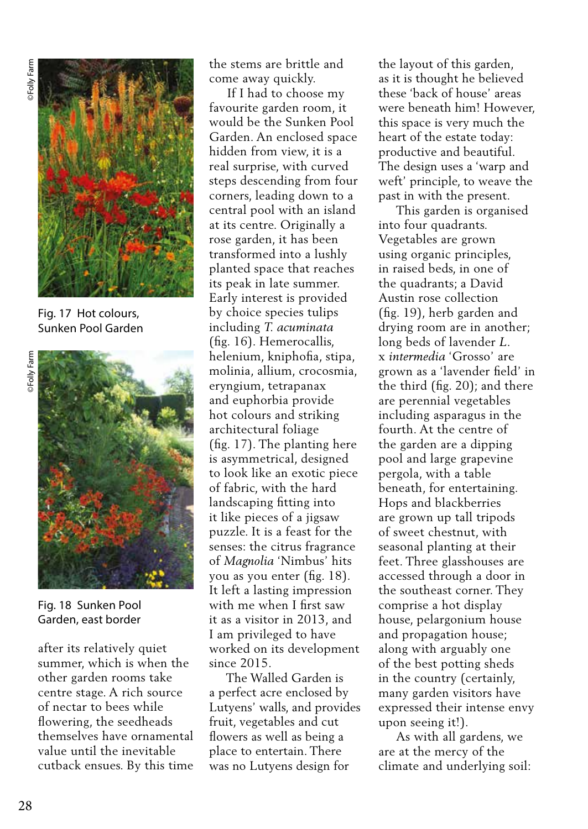

Fig. 17 Hot colours, Sunken Pool Garden



Fig. 18 Sunken Pool Garden, east border

after its relatively quiet summer, which is when the other garden rooms take centre stage. A rich source of nectar to bees while flowering, the seedheads themselves have ornamental value until the inevitable cutback ensues. By this time the stems are brittle and come away quickly.

 If I had to choose my favourite garden room, it would be the Sunken Pool Garden. An enclosed space hidden from view, it is a real surprise, with curved steps descending from four corners, leading down to a central pool with an island at its centre. Originally a rose garden, it has been transformed into a lushly planted space that reaches its peak in late summer. Early interest is provided by choice species tulips including *T. acuminata*  (fig. 16). Hemerocallis, helenium, kniphofia, stipa, molinia, allium, crocosmia, eryngium, tetrapanax and euphorbia provide hot colours and striking architectural foliage (fig. 17). The planting here is asymmetrical, designed to look like an exotic piece of fabric, with the hard landscaping fitting into it like pieces of a jigsaw puzzle. It is a feast for the senses: the citrus fragrance of *Magnolia* 'Nimbus' hits you as you enter (fig. 18). It left a lasting impression with me when I first saw it as a visitor in 2013, and I am privileged to have worked on its development since 2015.

 The Walled Garden is a perfect acre enclosed by Lutyens' walls, and provides fruit, vegetables and cut flowers as well as being a place to entertain. There was no Lutyens design for

the layout of this garden, as it is thought he believed these 'back of house' areas were beneath him! However, this space is very much the heart of the estate today: productive and beautiful. The design uses a 'warp and weft' principle, to weave the past in with the present.

 This garden is organised into four quadrants. Vegetables are grown using organic principles, in raised beds, in one of the quadrants; a David Austin rose collection (fig. 19), herb garden and drying room are in another; long beds of lavender *L*. x *intermedia* 'Grosso' are grown as a 'lavender field' in the third (fig. 20); and there are perennial vegetables including asparagus in the fourth. At the centre of the garden are a dipping pool and large grapevine pergola, with a table beneath, for entertaining. Hops and blackberries are grown up tall tripods of sweet chestnut, with seasonal planting at their feet. Three glasshouses are accessed through a door in the southeast corner. They comprise a hot display house, pelargonium house and propagation house; along with arguably one of the best potting sheds in the country (certainly, many garden visitors have expressed their intense envy upon seeing it!).

 As with all gardens, we are at the mercy of the climate and underlying soil: